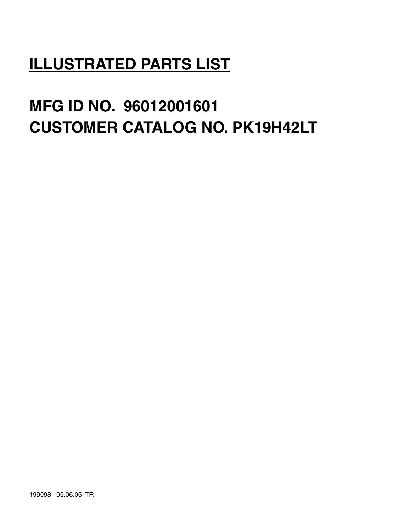# **ILLUSTRATED PARTS LIST**

# **MFG ID NO. 96012001601 CUSTOMER CATALOG NO. PK19H42LT**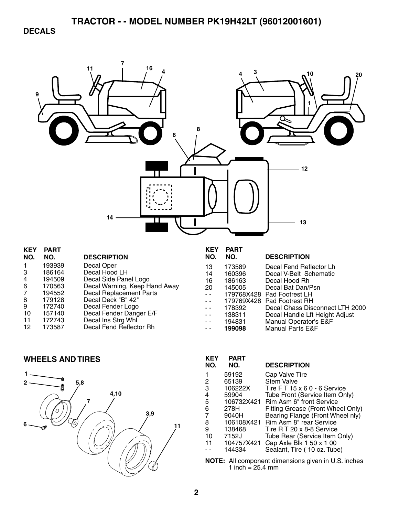**DECALS** 



| NE I           | FANI   |                               |
|----------------|--------|-------------------------------|
| NO.            | NO.    | <b>DESCRIPTION</b>            |
|                | 193939 | Decal Oper                    |
| 3              | 186164 | Decal Hood LH                 |
| 4              | 194509 | Decal Side Panel Logo         |
| 6              | 170563 | Decal Warning, Keep Hand Away |
| $\overline{7}$ | 194552 | Decal Replacement Parts       |
| 8              | 179128 | Decal Deck "B" 42"            |
| 9              | 172740 | Decal Fender Logo             |
| 10             | 157140 | Decal Fender Danger E/F       |
| 11             | 172743 | Decal Ins Strg Whl            |
| 12             | 173587 | Decal Fend Reflector Rh       |
|                |        |                               |

| <b>PART</b> |                                 |
|-------------|---------------------------------|
| NO.         | <b>DESCRIPTION</b>              |
| 173589      | Decal Fend Reflector Lh         |
| 160396      | Decal V-Belt Schematic          |
| 186163      | Decal Hood Rh                   |
| 145005      | Decal Bat Dan/Psn               |
|             | 179768X428 Pad Footrest LH      |
|             | 179769X428 Pad Footrest RH      |
| 178392      | Decal Chass Disconnect LTH 2000 |
| 138311      | Decal Handle Lft Height Adjust  |
| 194831      | Manual Operator's E&F           |
| 199098      | <b>Manual Parts E&amp;F</b>     |
|             |                                 |

### **WHEELS AND TIRES**



| <b>KEY</b><br>NO. | <b>PART</b><br>NO.                                    | <b>DESCRIPTION</b>                  |  |
|-------------------|-------------------------------------------------------|-------------------------------------|--|
|                   | 59192                                                 | Cap Valve Tire                      |  |
| 2                 | 65139                                                 | <b>Stem Valve</b>                   |  |
| 3                 | 106222X                                               | Tire FT 15 x 6 0 - 6 Service        |  |
| 4                 | 59904                                                 | Tube Front (Service Item Only)      |  |
| 5                 |                                                       | 106732X421 Rim Asm 6" front Service |  |
| 6                 | 278H                                                  | Fitting Grease (Front Wheel Only)   |  |
| 7                 | 9040H                                                 | Bearing Flange (Front Wheel nly)    |  |
| 8                 | 106108X421                                            | Rim Asm 8" rear Service             |  |
| 9                 | 138468                                                | Tire R T 20 x 8-8 Service           |  |
| 10                | 7152J                                                 | Tube Rear (Service Item Only)       |  |
| 11                | 104757X421                                            | Cap Axle Blk 1 50 x 1 00            |  |
|                   | 144334                                                | Sealant, Tire (10 oz. Tube)         |  |
|                   | $E_i$ , All component dimensions given in LLC, inches |                                     |  |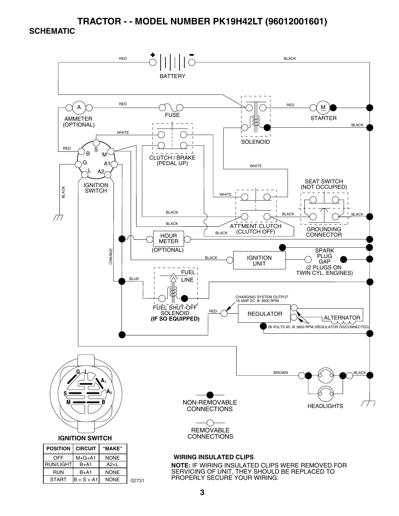#### **SCHEMATIC**



START  $\vert B + S + A1 \vert$ NONE 02731

PROPERLY SECURE YOUR WIRING.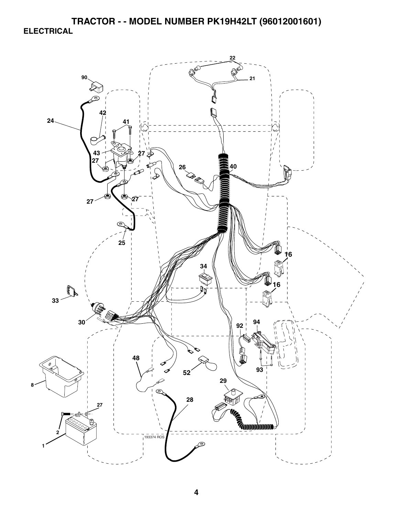**TRACTOR - - MODEL NUMBER PK19H42LT (96012001601) ELECTRICAL** 

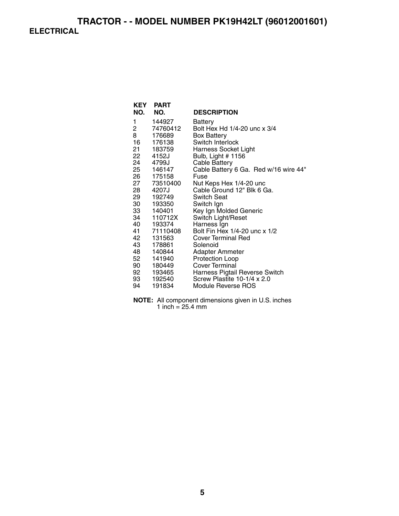# **TRACTOR - - MODEL NUMBER PK19H42LT (96012001601) ELECTRICAL**

| <b>KEY</b><br>NO. | <b>PART</b><br>NO. | <b>DESCRIPTION</b>                    |
|-------------------|--------------------|---------------------------------------|
|                   |                    |                                       |
| 1                 | 144927             | Battery                               |
| 2                 | 74760412           | Bolt Hex Hd 1/4-20 unc x 3/4          |
| 8                 | 176689             | <b>Box Battery</b>                    |
| 16                | 176138             | Switch Interlock                      |
|                   | 21 183759          | <b>Harness Socket Light</b>           |
| 22                | 4152J              | Bulb, Light # 1156                    |
|                   | 24 4799J           | <b>Cable Battery</b>                  |
|                   | 25 146147          | Cable Battery 6 Ga. Red w/16 wire 44" |
| 26                | 175158             | Fuse                                  |
| 27                | 73510400           | Nut Keps Hex 1/4-20 unc               |
|                   | 28 4207J           | Cable Ground 12" Blk 6 Ga.            |
| 29                | 192749             | <b>Switch Seat</b>                    |
| 30                | 193350             | Switch Ign                            |
|                   | 33 140401          | Key Ign Molded Generic                |
| 34 —              | 110712X            | Switch Light/Reset                    |
|                   | 40 193374          | Harness Ign                           |
|                   | 41 71110408        | Bolt Fin Hex 1/4-20 unc x 1/2         |
| 42                | 131563             | Cover Terminal Red                    |
| 43                | 178861             | Solenoid                              |
| 48                | 140844             | <b>Adapter Ammeter</b>                |
| 52                | 141940             | <b>Protection Loop</b>                |
|                   | 90 180449          | <b>Cover Terminal</b>                 |
| 92                | 193465             | Harness Pigtail Reverse Switch        |
| 93                | 192540             | Screw Plastite 10-1/4 x 2.0           |
| 94                | 191834             | Module Reverse ROS                    |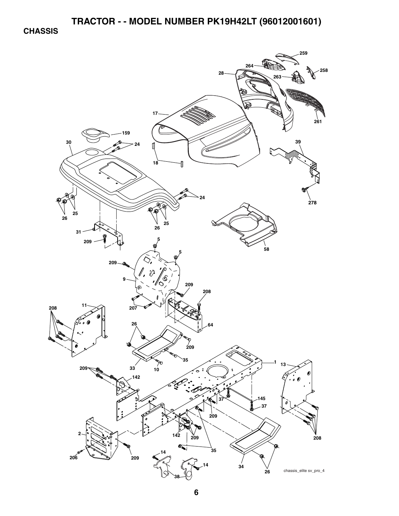**CHASSIS** 

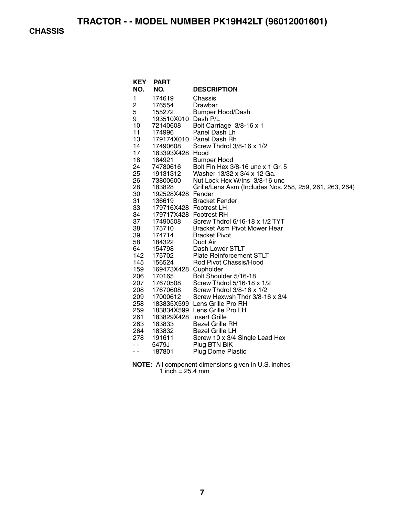**CHASSIS** 

| <b>PART</b>         |                                                                                                                                                                                                                                                                                                                                                                                                                                                                     |
|---------------------|---------------------------------------------------------------------------------------------------------------------------------------------------------------------------------------------------------------------------------------------------------------------------------------------------------------------------------------------------------------------------------------------------------------------------------------------------------------------|
| NO.                 | <b>DESCRIPTION</b>                                                                                                                                                                                                                                                                                                                                                                                                                                                  |
| 174619              | Chassis                                                                                                                                                                                                                                                                                                                                                                                                                                                             |
| 176554              | Drawbar                                                                                                                                                                                                                                                                                                                                                                                                                                                             |
| 155272              | <b>Bumper Hood/Dash</b>                                                                                                                                                                                                                                                                                                                                                                                                                                             |
| 193510X010 Dash P/L |                                                                                                                                                                                                                                                                                                                                                                                                                                                                     |
| 72140608            | Bolt Carriage 3/8-16 x 1                                                                                                                                                                                                                                                                                                                                                                                                                                            |
| 174996              | Panel Dash Lh                                                                                                                                                                                                                                                                                                                                                                                                                                                       |
|                     | 179174X010 Panel Dash Rh                                                                                                                                                                                                                                                                                                                                                                                                                                            |
|                     | Screw Thdrol 3/8-16 x 1/2                                                                                                                                                                                                                                                                                                                                                                                                                                           |
|                     |                                                                                                                                                                                                                                                                                                                                                                                                                                                                     |
|                     | <b>Bumper Hood</b>                                                                                                                                                                                                                                                                                                                                                                                                                                                  |
|                     | Bolt Fin Hex 3/8-16 unc x 1 Gr. 5                                                                                                                                                                                                                                                                                                                                                                                                                                   |
|                     | Washer 13/32 x 3/4 x 12 Ga.                                                                                                                                                                                                                                                                                                                                                                                                                                         |
|                     | Nut Lock Hex W/Ins 3/8-16 unc                                                                                                                                                                                                                                                                                                                                                                                                                                       |
|                     | Grille/Lens Asm (Includes Nos. 258, 259, 261, 263, 264)                                                                                                                                                                                                                                                                                                                                                                                                             |
|                     |                                                                                                                                                                                                                                                                                                                                                                                                                                                                     |
|                     | <b>Bracket Fender</b>                                                                                                                                                                                                                                                                                                                                                                                                                                               |
|                     |                                                                                                                                                                                                                                                                                                                                                                                                                                                                     |
|                     |                                                                                                                                                                                                                                                                                                                                                                                                                                                                     |
|                     | Screw Thdrol 6/16-18 x 1/2 TYT                                                                                                                                                                                                                                                                                                                                                                                                                                      |
|                     | <b>Bracket Asm Pivot Mower Rear</b>                                                                                                                                                                                                                                                                                                                                                                                                                                 |
|                     | <b>Bracket Pivot</b>                                                                                                                                                                                                                                                                                                                                                                                                                                                |
|                     | Duct Air                                                                                                                                                                                                                                                                                                                                                                                                                                                            |
|                     | Dash Lower STLT                                                                                                                                                                                                                                                                                                                                                                                                                                                     |
|                     | <b>Plate Reinforcement STLT</b><br>Rod Pivot Chassis/Hood                                                                                                                                                                                                                                                                                                                                                                                                           |
|                     |                                                                                                                                                                                                                                                                                                                                                                                                                                                                     |
|                     | Bolt Shoulder 5/16-18                                                                                                                                                                                                                                                                                                                                                                                                                                               |
|                     | Screw Thdrol 5/16-18 x 1/2                                                                                                                                                                                                                                                                                                                                                                                                                                          |
|                     | Screw Thdrol 3/8-16 x 1/2                                                                                                                                                                                                                                                                                                                                                                                                                                           |
|                     | Screw Hexwsh Thdr 3/8-16 x 3/4                                                                                                                                                                                                                                                                                                                                                                                                                                      |
|                     |                                                                                                                                                                                                                                                                                                                                                                                                                                                                     |
|                     |                                                                                                                                                                                                                                                                                                                                                                                                                                                                     |
|                     |                                                                                                                                                                                                                                                                                                                                                                                                                                                                     |
|                     | <b>Bezel Grille RH</b>                                                                                                                                                                                                                                                                                                                                                                                                                                              |
|                     | <b>Bezel Grille LH</b>                                                                                                                                                                                                                                                                                                                                                                                                                                              |
|                     | Screw 10 x 3/4 Single Lead Hex                                                                                                                                                                                                                                                                                                                                                                                                                                      |
|                     | Plug BTN BIK                                                                                                                                                                                                                                                                                                                                                                                                                                                        |
|                     | Plug Dome Plastic                                                                                                                                                                                                                                                                                                                                                                                                                                                   |
|                     |                                                                                                                                                                                                                                                                                                                                                                                                                                                                     |
|                     | 17490608<br>183393X428 Hood<br>184921<br>74780616<br>19131312<br>73800600<br>183828<br>192528X428 Fender<br>136619<br>179716X428 Footrest LH<br>179717X428 Footrest RH<br>17490508<br>175710<br>174714<br>184322<br>154798<br>175702<br>156524<br>169473X428 Cupholder<br>170165<br>17670508<br>17670608<br>17000612<br>183835X599 Lens Grille Pro RH<br>183834X599 Lens Grille Pro LH<br>183829X428 Insert Grille<br>183833<br>183832<br>191611<br>5479J<br>187801 |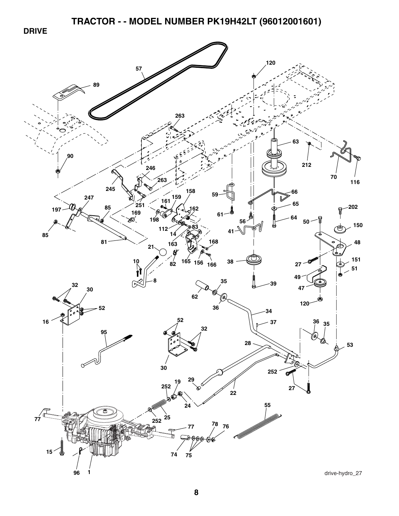**DRIVE** 

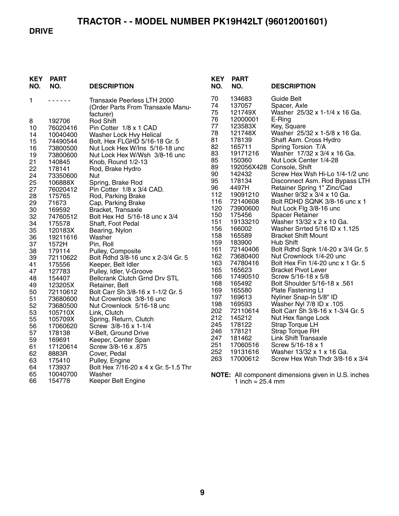#### **DRIVE**

| <b>KEY</b><br>NO. | PART<br>NO.        | <b>DESCRIPTION</b>                                                            |
|-------------------|--------------------|-------------------------------------------------------------------------------|
| 1                 |                    | Transaxle Peerless LTH 2000<br>(Order Parts From Transaxle Manu-<br>facturer) |
| 8                 | 192706             | <b>Rod Shift</b>                                                              |
| 10                | 76020416           | Pin Cotter 1/8 x 1 CAD                                                        |
| 14                | 10040400           | Washer Lock Hvy Helical                                                       |
| 15                | 74490544           | Bolt, Hex FLGHD 5/16-18 Gr. 5                                                 |
| 16                | 73800500           | Nut Lock Hex W/Ins 5/16-18 unc                                                |
| 19                | 73800600           | Nut Lock Hex W/Wsh 3/8-16 unc                                                 |
| 21                | 140845             | Knob, Round 1/2-13                                                            |
| 22                | 178141             | Rod, Brake Hydro                                                              |
| 24                | 73350600           | Nut                                                                           |
| 25                | 106888X            | Spring, Brake Rod                                                             |
| 27                | 76020412           | Pin Cotter 1/8 x 3/4 CAD.                                                     |
| 28                | 175765             | Rod, Parking Brake                                                            |
| 29                | 71673              | Cap, Parking Brake                                                            |
| 30                | 169592             | Bracket, Transaxle                                                            |
| 32                | 74760512           | Bolt Hex Hd 5/16-18 unc x 3/4                                                 |
| 34                | 175578             | Shaft, Foot Pedal                                                             |
| 35                | 120183X            | Bearing, Nylon                                                                |
| 36                | 19211616           | Washer                                                                        |
| 37                | 1572H              | Pin, Roll                                                                     |
| 38                | 179114             | Pulley, Composite                                                             |
| 39<br>41          | 72110622<br>175556 | Bolt Rdhd 3/8-16 unc x 2-3/4 Gr. 5                                            |
| 47                | 127783             | Keeper, Belt Idler<br>Pulley, Idler, V-Groove                                 |
| 48                | 154407             | <b>Bellcrank Clutch Grnd Drv STL</b>                                          |
| 49                | 123205X            | Retainer, Belt                                                                |
| 50                | 72110612           | Bolt Carr Sh 3/8-16 x 1-1/2 Gr. 5                                             |
| 51                | 73680600           | Nut Crownlock 3/8-16 unc                                                      |
| 52                | 73680500           | Nut Crownlock 5/16-18 unc                                                     |
| 53                | 105710X            | Link, Clutch                                                                  |
| 55                | 105709X            | Spring, Return, Clutch                                                        |
| 56                | 17060620           | Screw 3/8-16 x 1-1/4                                                          |
| 57                | 178138             | V-Belt, Ground Drive                                                          |
| 59                | 169691             | Keeper, Center Span                                                           |
| 61                | 17120614           | Screw 3/8-16 x .875                                                           |
| 62                | 8883R              | Cover, Pedal                                                                  |
| 63                | 175410             | Pulley, Engine                                                                |
| 64                | 173937             | Bolt Hex 7/16-20 x 4 x Gr. 5-1.5 Thr                                          |
| 65                | 10040700           | Washer                                                                        |
| 66                | 154778             | Keeper Belt Engine                                                            |

| KEY<br>NO. | PART<br>NO. | <b>DESCRIPTION</b>                |
|------------|-------------|-----------------------------------|
| 70         | 134683      | Guide Belt                        |
| 74         | 137057      | Spacer, Axle                      |
| 75         | 121749X     | Washer 25/32 x 1-1/4 x 16 Ga.     |
| 76         | 12000001    | E-Ring                            |
| 77         | 123583X     | Key, Square                       |
| 78         | 121748X     | Washer 25/32 x 1-5/8 x 16 Ga.     |
| 81         | 178139      | Shaft Asm. Cross Hydro            |
| 82         | 165711      | Spring Torsion T/A                |
| 83         | 19171216    | Washer 17/32 x 3/4 x 16 Ga.       |
| 85         | 150360      | Nut Lock Center 1/4-28            |
| 89         | 192056X428  | Console, Shift                    |
| 90         | 142432      | Screw Hex Wsh Hi-Lo 1/4-1/2 unc   |
| 95         | 178134      | Disconnect Asm. Rod Bypass LTH    |
| 96         | 4497H       | Retainer Spring 1" Zinc/Cad       |
| 112        | 19091210    | Washer 9/32 x 3/4 x 10 Ga.        |
| 116        | 72140608    | Bolt RDHD SQNK 3/8-16 unc x 1     |
| 120        | 73900600    | Nut Lock Flg 3/8-16 unc           |
| 150        | 175456      | <b>Spacer Retainer</b>            |
| 151        | 19133210    | Washer 13/32 x 2 x 10 Ga.         |
| 156        | 166002      | Washer Srrted 5/16 ID x 1.125     |
| 158        | 165589      | <b>Bracket Shift Mount</b>        |
| 159        | 183900      | Hub Shift                         |
| 161        | 72140406    | Bolt Rdhd Sqnk 1/4-20 x 3/4 Gr. 5 |
| 162        | 73680400    | Nut Crownlock 1/4-20 unc          |
| 163        | 74780416    | Bolt Hex Fin 1/4-20 unc x 1 Gr. 5 |
| 165        | 165623      | <b>Bracket Pivot Lever</b>        |
| 166        | 17490510    | Screw 5/16-18 x 5/8               |
| 168        | 165492      | Bolt Shoulder 5/16-18 x .561      |
| 169        | 165580      | Plate Fastening Lt                |
| 197        | 169613      | Nyliner Snap-In 5/8" ID           |
| 198        | 169593      | Washer Nyl 7/8 ID x .105          |
| 202        | 72110614    | Bolt Carr Sh 3/8-16 x 1-3/4 Gr. 5 |
| 212        | 145212      | Nut Hex flange Lock               |
| 245        | 178122      | Strap Torque LH                   |
| 246        | 178121      | <b>Strap Torque RH</b>            |
| 247        | 181462      | <b>Link Shift Transaxle</b>       |
| 251        | 17060516    | Screw 5/16-18 x 1                 |
| 252        | 19131616    | Washer 13/32 x 1 x 16 Ga.         |
| 263        | 17000612    | Screw Hex Wsh Thdr 3/8-16 x 3/4   |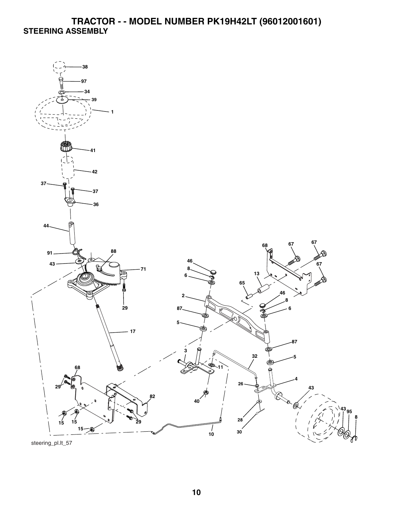## **TRACTOR - - MODEL NUMBER PK19H42LT (96012001601) STEERING ASSEMBLY**



steering\_pl.lt\_57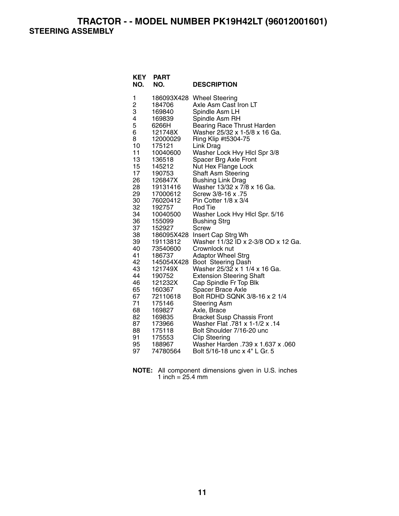**TRACTOR - - MODEL NUMBER PK19H42LT (96012001601) STEERING ASSEMBLY** 

| <b>KEY</b><br>NO. | <b>PART</b><br>NO. | <b>DESCRIPTION</b>                                        |
|-------------------|--------------------|-----------------------------------------------------------|
| 1                 | 186093X428         | <b>Wheel Steering</b>                                     |
| $\frac{2}{3}$     | 184706             | Axle Asm Cast Iron LT                                     |
|                   | 169840             | Spindle Asm LH                                            |
| 4                 | 169839             | Spindle Asm RH                                            |
| 5                 | 6266H              | <b>Bearing Race Thrust Harden</b>                         |
| 6                 | 121748X            | Washer 25/32 x 1-5/8 x 16 Ga.                             |
| 8                 | 12000029           | Ring Klip #t5304-75                                       |
| 10<br>11          | 175121<br>10040600 | Link Drag                                                 |
| 13                | 136518             | Washer Lock Hvy Hlcl Spr 3/8<br>Spacer Brg Axle Front     |
| 15                | 145212             | Nut Hex Flange Lock                                       |
| 17                | 190753             | <b>Shaft Asm Steering</b>                                 |
| 26                | 126847X            | <b>Bushing Link Drag</b>                                  |
| 28                | 19131416           | Washer 13/32 x 7/8 x 16 Ga.                               |
| 29                | 17000612           | Screw 3/8-16 x .75                                        |
| 30                | 76020412           | Pin Cotter 1/8 x 3/4                                      |
| 32                | 192757             | Rod Tie                                                   |
| 34                | 10040500           | Washer Lock Hvy Hlcl Spr. 5/16                            |
| 36                | 155099             | <b>Bushing Strg</b>                                       |
| 37                | 152927             | Screw                                                     |
| 38                | 186095X428         | Insert Cap Strg Wh                                        |
| 39<br>40          | 19113812           | Washer 11/32 ID x 2-3/8 OD x 12 Ga.<br>Crownlock nut      |
| 41                | 73540600<br>186737 | <b>Adaptor Wheel Strg</b>                                 |
| 42                | 145054X428         | Boot Steering Dash                                        |
| 43                | 121749X            | Washer 25/32 x 1 1/4 x 16 Ga.                             |
| 44                | 190752             | <b>Extension Steering Shaft</b>                           |
| 46                | 121232X            | Cap Spindle Fr Top Blk                                    |
| 65                | 160367             | Spacer Brace Axle                                         |
| 67                | 72110618           | Bolt RDHD SQNK 3/8-16 x 2 1/4                             |
| 71                | 175146             | <b>Steering Asm</b>                                       |
| 68                | 169827             | Axle, Brace                                               |
| 82                | 169835             | <b>Bracket Susp Chassis Front</b>                         |
| 87                | 173966             | Washer Flat .781 x 1-1/2 x .14                            |
| 88                | 175118             | Bolt Shoulder 7/16-20 unc                                 |
| 91<br>95          | 175553<br>188967   | <b>Clip Steering</b><br>060. Washer Harden .739 x 1.637 x |
| 97                | 74780564           | Bolt 5/16-18 unc x 4" L Gr. 5                             |
|                   |                    |                                                           |

**NOTE:** All component dimensions given in U.S. inches 1 inch = 25.4 mm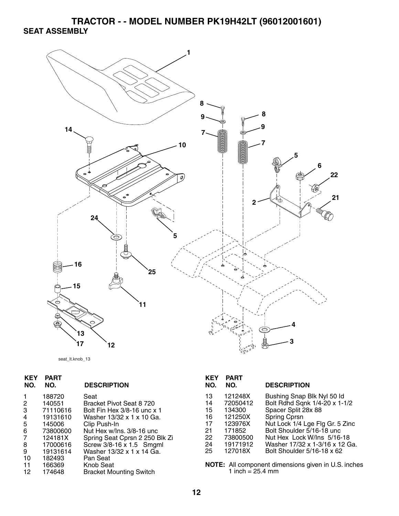**TRACTOR - - MODEL NUMBER PK19H42LT (96012001601) SEAT ASSEMBLY** 



seat\_lt.knob\_13

| <b>KEY</b><br>NO.          | <b>PART</b><br>NO.                                                                    | <b>DESCRIPTION</b>                                                                                                                                                                                      | <b>KEY</b><br>NO.                            | <b>PART</b><br>NO.                                                                    |
|----------------------------|---------------------------------------------------------------------------------------|---------------------------------------------------------------------------------------------------------------------------------------------------------------------------------------------------------|----------------------------------------------|---------------------------------------------------------------------------------------|
| 2<br>3<br>4<br>5<br>6<br>8 | 188720<br>140551<br>71110616<br>19131610<br>145006<br>73800600<br>124181X<br>17000616 | Seat<br>Bracket Pivot Seat 8 720<br>Bolt Fin Hex 3/8-16 unc x 1<br>Washer 13/32 x 1 x 10 Ga.<br>Clip Push-In<br>Nut Hex w/Ins. 3/8-16 unc<br>Spring Seat Cprsn 2 250 Blk Zi<br>Screw 3/8-16 x 1.5 Smgml | 13<br>14<br>15<br>16<br>17<br>21<br>22<br>24 | 121248X<br>72050412<br>134300<br>121250X<br>123976X<br>171852<br>73800500<br>19171912 |
| 9<br>10<br>11<br>12        | 19131614<br>182493<br>166369<br>174648                                                | Washer 13/32 x 1 x 14 Ga.<br>Pan Seat<br>Knob Seat<br><b>Bracket Mounting Switch</b>                                                                                                                    | 25                                           | 127018X<br>NOTE: All compor<br>1 inch = $25$                                          |

| <b>KEY</b><br>NO.                                  | <b>PART</b><br>NO.                                                                               | <b>DESCRIPTION</b>                                                                                                                                                                                                                                                |
|----------------------------------------------------|--------------------------------------------------------------------------------------------------|-------------------------------------------------------------------------------------------------------------------------------------------------------------------------------------------------------------------------------------------------------------------|
| 13<br>14<br>15<br>16<br>17<br>21<br>22<br>24<br>25 | 121248X<br>72050412<br>134300<br>121250X<br>123976X<br>171852<br>73800500<br>19171912<br>127018X | Bushing Snap Blk Nyl 50 ld<br>Bolt Rdhd Sqnk 1/4-20 x 1-1/2<br>Spacer Split 28x 88<br>Spring Cprsn<br>Nut Lock 1/4 Lge Flg Gr. 5 Zinc<br>Bolt Shoulder 5/16-18 unc.<br>Nut Hex Lock W/Ins 5/16-18<br>Washer 17/32 x 1-3/16 x 12 Ga.<br>Bolt Shoulder 5/16-18 x 62 |
|                                                    |                                                                                                  |                                                                                                                                                                                                                                                                   |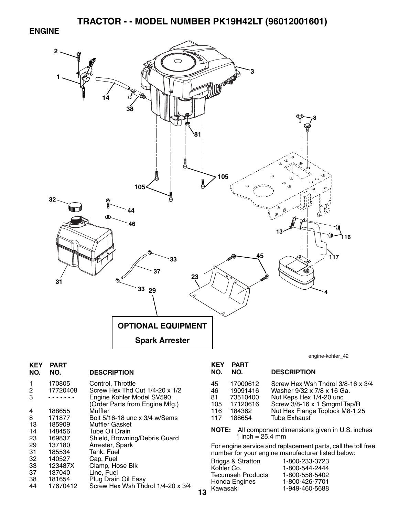#### **ENGINE**



**13**

| KEY<br>NO. | PART<br>NO.        | <b>DESCRIPTION</b>                                          |
|------------|--------------------|-------------------------------------------------------------|
| 1<br>2     | 170805<br>17720408 | Control, Throttle<br>Screw Hex Thd Cut 1/4-20 x 1/2         |
| 3          |                    | Engine Kohler Model SV590<br>(Order Parts from Engine Mfg.) |
| 4          | 188655             | Muffler                                                     |
| 8          | 171877             | Bolt 5/16-18 unc x 3/4 w/Sems                               |
| 13         | 185909             | Muffler Gasket                                              |
| 14         | 148456             | Tube Oil Drain                                              |
| 23         | 169837             | Shield, Browning/Debris Guard                               |
| 29         | 137180             | Arrester, Spark                                             |
| 31         | 185534             | Tank, Fuel                                                  |
| 32         | 140527             | Cap, Fuel                                                   |
| 33         | 123487X            | Clamp, Hose Blk                                             |
| 37         | 137040             | Line, Fuel                                                  |
| 38         | 181654             | Plug Drain Oil Easy                                         |
| 44         | 17670412           | Screw Hex Wsh Thdrol 1/4-20 x 3/4                           |
|            |                    |                                                             |

engine-kohler\_42

| <b>KEY</b><br>NO.                   | <b>PART</b><br>NO.                                               | <b>DESCRIPTION</b>                                                                                                                                                                  |
|-------------------------------------|------------------------------------------------------------------|-------------------------------------------------------------------------------------------------------------------------------------------------------------------------------------|
| 45<br>46<br>81<br>105<br>116<br>117 | 17000612<br>19091416<br>73510400<br>17120616<br>184362<br>188654 | Screw Hex Wsh Thdrol 3/8-16 x 3/4<br>Washer 9/32 x 7/8 x 16 Ga.<br>Nut Keps Hex 1/4-20 unc<br>Screw 3/8-16 x 1 Smgml Tap/R<br>Nut Hex Flange Toplock M8-1.25<br><b>Tube Exhaust</b> |
|                                     |                                                                  |                                                                                                                                                                                     |

**NOTE:** All component dimensions given in U.S. inches 1 inch = 25.4 mm

For engine service and replacement parts, call the toll free number for your engine manufacturer listed below:

| <b>Briggs &amp; Stratton</b> | 1-800-233-3723 |
|------------------------------|----------------|
| Kohler Co.                   | 1-800-544-2444 |
| <b>Tecumseh Products</b>     | 1-800-558-5402 |
| Honda Engines                | 1-800-426-7701 |
| Kawasaki                     | 1-949-460-5688 |
|                              |                |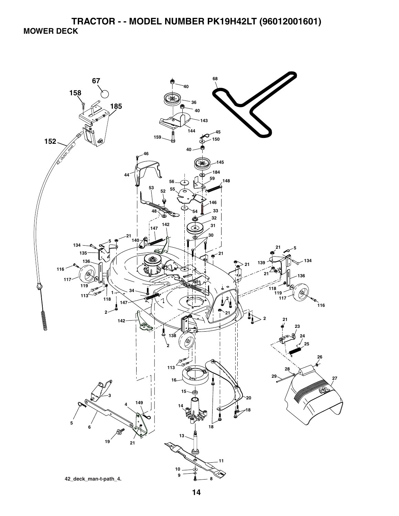**TRACTOR - - MODEL NUMBER PK19H42LT (96012001601) MOWER DECK** 

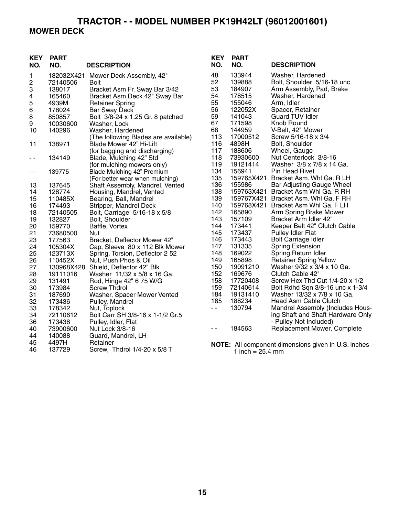#### **TRACTOR - - MODEL NUMBER PK19H42LT (96012001601) MOWER DECK**

#### **KEY PART NO. NO. DESCRIPTION KEY PART NO. NO. DESCRIPTION** 1 182032X421 Mower Deck Assembly, 42" 2 72140506 Bolt 3 138017 Bracket Asm Fr. Sway Bar 3/42 4 165460 Bracket Asm Deck 42" Sway Bar Retainer Spring 6 178024 Bar Sway Deck 8 850857 Bolt 3/8-24 x 1.25 Gr. 8 patched 9 10030600 Washer, Lock 10 140296 Washer, Hardened (The following Blades are available)<br>138971 Blade Mower 42" Hi-Lift 11 138971 Blade Mower 42" Hi-Lift (for bagging and discharging) - - 134149 Blade, Mulching 42" Std (for mulching mowers only) - - 139775 Blade Mulching 42" Premium (For better wear when mulching) 13 137645 Shaft Assembly, Mandrel, Vented 14 128774 Housing, Mandrel, Vented 15 110485X Bearing, Ball, Mandrel 16 174493 Stripper, Mandrel Deck 18 72140505 Bolt, Carriage 5/16-18 x 5/8 19 132827 Bolt, Shoulder<br>20 159770 Baffle, Vortex 20 159770 Baffle, Vortex<br>21 73680500 Nut 21 73680500 Nut 23 177563 Bracket, Deflector Mower 42"<br>24 105304X Cap, Sleeve 80 x 112 Blk Mo 24 105304X Cap, Sleeve 80 x 112 Blk Mower<br>25 123713X Spring, Torsion, Deflector 2 52 25 123713X Spring, Torsion, Deflector 2 52<br>26 110452X Nut, Push Phos & Oil 26 110452X Nut, Push Phos & Oil 27 130968X428 Shield, Deflector 42" Blk<br>28 19111016 Washer 11/32 x 5/8 x 16 28 19111016 Washer 11/32 x 5/8 x 16 Ga. 29 131491 Rod, Hinge 42" 6 75 W/G 30 173984 Screw Thdrol 31 187690 Washer, Spacer Mower Vented 32 173436 Pulley, Mandrel 33 178342 Nut, Toplock 34 72110612 Bolt Carr SH 3/8-16 x 1-1/2 Gr.5 36 173438 Pulley, Idler, Flat Nut Lock 3/8-16 44 140088 Guard, Mandrel, LH 45 4497H Retainer 46 137729 Screw, Thdrol 1/4-20 x 5/8 T 48 133944 Washer, Hardened 52 139888 Bolt, Shoulder 5/16-18 unc 53 184907 Arm Assembly, Pad, Brake<br>54 178515 Washer, Hardened 178515 Washer, Hardened 55 155046 Arm, Idler 56 122052X Spacer, Retainer 141043 Guard TUV Idler 67 171598 Knob Round 68 144959 V-Belt, 42" Mower 113 17000512 Screw 5/16-18 x 3/4 116 4898H Bolt, Shoulder 117 188606 Wheel, Gauge 118 73930600 Nut Centerlock 3/8-16<br>119 19121414 Washer 3/8 x 7/8 x 14 119 19121414 Washer 3/8 x 7/8 x 14 Ga.<br>134 156941 Pin Head Rivet Pin Head Rivet 135 159765X421 Bracket Asm. Whl Ga. R LH 136 155986 Bar Adjusting Gauge Wheel<br>138 159763X421 Bracket Asm Whl Ga. R RH 138 159763X421 Bracket Asm Whl Ga. R RH 139 159767X421 Bracket Asm. Whl Ga. F RH 140 159768X421 Bracket Asm Whl Ga. F LH<br>142 165890 Arm Spring Brake Mower 142 165890 Arm Spring Brake Mower<br>143 157109 Bracket Arm Idler 42" 143 157109 Bracket Arm Idler 42" 144 173441 Keeper Belt 42" Clutch Cable<br>145 173437 Pullev Idler Flat 145 173437 Pulley Idler Flat 146 173443 Bolt Carriage Idler<br>147 131335 Spring Extension Spring Extension 148 169022 Spring Return Idler 149 165898 Retainer Spring Yellow 150 19091210 Washer 9/32 x 3/4 x 10 Ga. 152 169676 Clutch Cable 42" 158 17720408 Screw Hex Thd Cut 1/4-20 x 1/2 159 72140614 Bolt Rdhd Sqn 3/8-16 unc x 1-3/4 184 19131410 Washer 13/32 x 7/8 x 10 Ga. 188234 Head Asm Cable Clutch<br>130794 Mandrel Assembly (Inclu - - 130794 Mandrel Assembly (Includes Housing Shaft and Shaft Hardware Only - Pulley Not Included) - - 184563 Replacement Mower, Complete **NOTE:** All component dimensions given in U.S. inches 1 inch =  $25.4 \, \text{mm}$